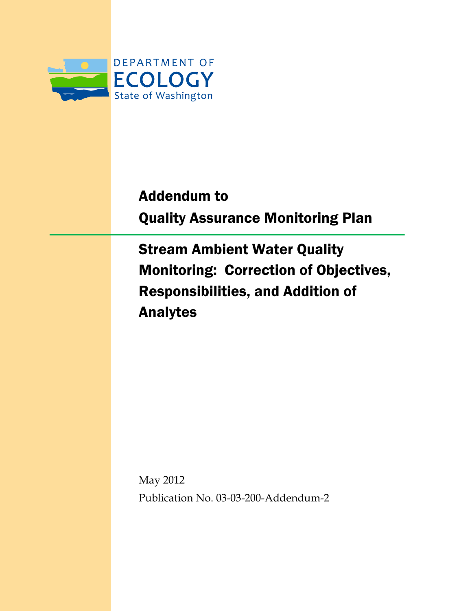

# Addendum to Quality Assurance Monitoring Plan

Stream Ambient Water Quality Monitoring: Correction of Objectives, Responsibilities, and Addition of Analytes

May 2012 Publication No. 03-03-200-Addendum-2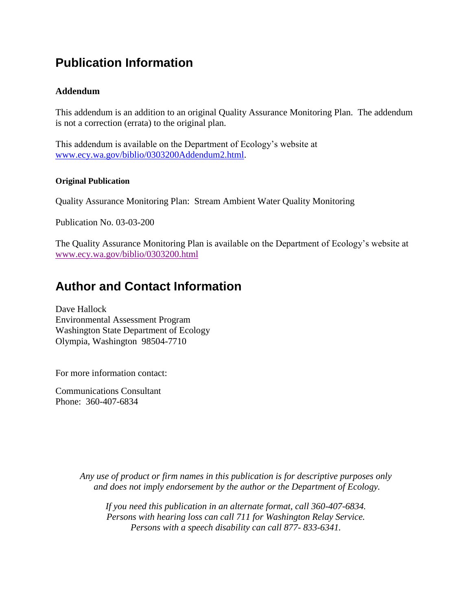### **Publication Information**

#### **Addendum**

This addendum is an addition to an original Quality Assurance Monitoring Plan. The addendum is not a correction (errata) to the original plan.

This addendum is available on the Department of Ecology's website at [www.ecy.wa.gov/biblio/0303200Addendum2.html.](http://www.ecy.wa.gov/biblio/0303200Addendum2.html)

#### **Original Publication**

Quality Assurance Monitoring Plan: Stream Ambient Water Quality Monitoring

Publication No. 03-03-200

The Quality Assurance Monitoring Plan is available on the Department of Ecology's website at [www.ecy.wa.gov/biblio/0303200.html](http://www.ecy.wa.gov/biblio/0303200.html)

#### **Author and Contact Information**

Dave Hallock Environmental Assessment Program Washington State Department of Ecology Olympia, Washington 98504-7710

For more information contact:

Communications Consultant Phone: 360-407-6834

> *Any use of product or firm names in this publication is for descriptive purposes only and does not imply endorsement by the author or the Department of Ecology.*

*If you need this publication in an alternate format, call 360-407-6834. Persons with hearing loss can call 711 for Washington Relay Service. Persons with a speech disability can call 877- 833-6341.*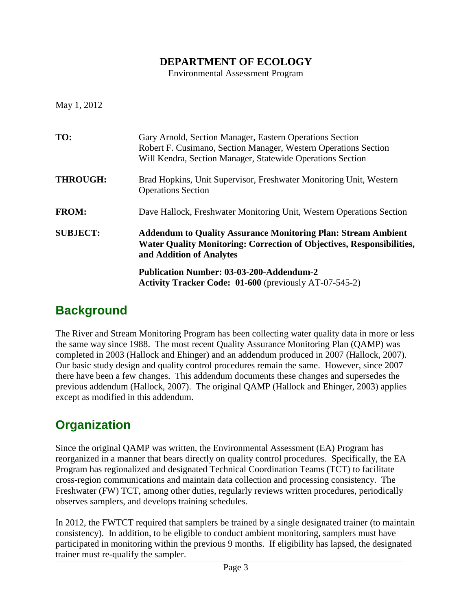#### **DEPARTMENT OF ECOLOGY**

Environmental Assessment Program

May 1, 2012

| TO:             | Gary Arnold, Section Manager, Eastern Operations Section<br>Robert F. Cusimano, Section Manager, Western Operations Section<br>Will Kendra, Section Manager, Statewide Operations Section |
|-----------------|-------------------------------------------------------------------------------------------------------------------------------------------------------------------------------------------|
| <b>THROUGH:</b> | Brad Hopkins, Unit Supervisor, Freshwater Monitoring Unit, Western<br><b>Operations Section</b>                                                                                           |
| <b>FROM:</b>    | Dave Hallock, Freshwater Monitoring Unit, Western Operations Section                                                                                                                      |
| <b>SUBJECT:</b> | <b>Addendum to Quality Assurance Monitoring Plan: Stream Ambient</b><br><b>Water Quality Monitoring: Correction of Objectives, Responsibilities,</b><br>and Addition of Analytes          |
|                 | <b>Publication Number: 03-03-200-Addendum-2</b><br><b>Activity Tracker Code: 01-600</b> (previously AT-07-545-2)                                                                          |

#### **Background**

The River and Stream Monitoring Program has been collecting water quality data in more or less the same way since 1988. The most recent Quality Assurance Monitoring Plan (QAMP) was completed in 2003 (Hallock and Ehinger) and an addendum produced in 2007 (Hallock, 2007). Our basic study design and quality control procedures remain the same. However, since 2007 there have been a few changes. This addendum documents these changes and supersedes the previous addendum (Hallock, 2007). The original QAMP (Hallock and Ehinger, 2003) applies except as modified in this addendum.

### **Organization**

Since the original QAMP was written, the Environmental Assessment (EA) Program has reorganized in a manner that bears directly on quality control procedures. Specifically, the EA Program has regionalized and designated Technical Coordination Teams (TCT) to facilitate cross-region communications and maintain data collection and processing consistency. The Freshwater (FW) TCT, among other duties, regularly reviews written procedures, periodically observes samplers, and develops training schedules.

In 2012, the FWTCT required that samplers be trained by a single designated trainer (to maintain consistency). In addition, to be eligible to conduct ambient monitoring, samplers must have participated in monitoring within the previous 9 months. If eligibility has lapsed, the designated trainer must re-qualify the sampler.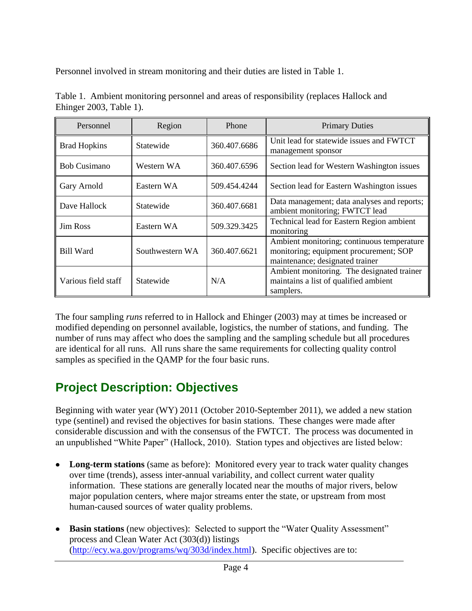Personnel involved in stream monitoring and their duties are listed in Table 1.

| Personnel           | Region          | Phone        | <b>Primary Duties</b>                                                                                                   |
|---------------------|-----------------|--------------|-------------------------------------------------------------------------------------------------------------------------|
| <b>Brad Hopkins</b> | Statewide       | 360.407.6686 | Unit lead for statewide issues and FWTCT<br>management sponsor                                                          |
| <b>Bob Cusimano</b> | Western WA      | 360.407.6596 | Section lead for Western Washington issues                                                                              |
| Gary Arnold         | Eastern WA      | 509.454.4244 | Section lead for Eastern Washington issues                                                                              |
| Dave Hallock        | Statewide       | 360.407.6681 | Data management; data analyses and reports;<br>ambient monitoring; FWTCT lead                                           |
| <b>Jim Ross</b>     | Eastern WA      | 509.329.3425 | Technical lead for Eastern Region ambient<br>monitoring                                                                 |
| <b>Bill Ward</b>    | Southwestern WA | 360.407.6621 | Ambient monitoring; continuous temperature<br>monitoring; equipment procurement; SOP<br>maintenance; designated trainer |
| Various field staff | Statewide       | N/A          | Ambient monitoring. The designated trainer<br>maintains a list of qualified ambient<br>samplers.                        |

Table 1. Ambient monitoring personnel and areas of responsibility (replaces Hallock and Ehinger 2003, Table 1).

The four sampling *runs* referred to in Hallock and Ehinger (2003) may at times be increased or modified depending on personnel available, logistics, the number of stations, and funding. The number of runs may affect who does the sampling and the sampling schedule but all procedures are identical for all runs. All runs share the same requirements for collecting quality control samples as specified in the QAMP for the four basic runs.

# **Project Description: Objectives**

Beginning with water year (WY) 2011 (October 2010-September 2011), we added a new station type (sentinel) and revised the objectives for basin stations. These changes were made after considerable discussion and with the consensus of the FWTCT. The process was documented in an unpublished "White Paper" (Hallock, 2010). Station types and objectives are listed below:

- **Long-term stations** (same as before): Monitored every year to track water quality changes over time (trends), assess inter-annual variability, and collect current water quality information. These stations are generally located near the mouths of major rivers, below major population centers, where major streams enter the state, or upstream from most human-caused sources of water quality problems.
- **Basin stations** (new objectives): Selected to support the "Water Quality Assessment" process and Clean Water Act (303(d)) listings [\(http://ecy.wa.gov/programs/wq/303d/index.html\)](http://ecy.wa.gov/programs/wq/303d/index.html). Specific objectives are to: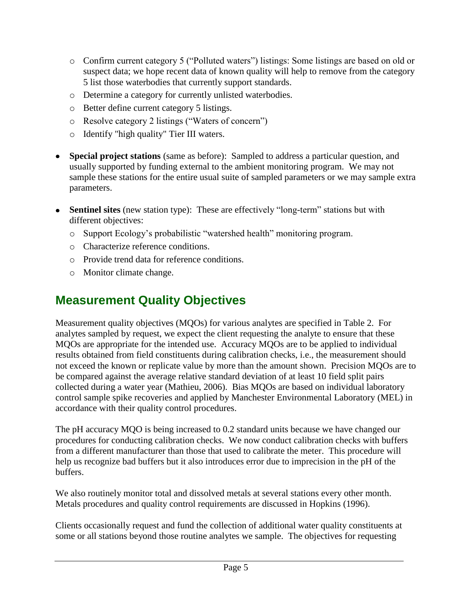- o Confirm current category 5 ("Polluted waters") listings: Some listings are based on old or suspect data; we hope recent data of known quality will help to remove from the category 5 list those waterbodies that currently support standards.
- o Determine a category for currently unlisted waterbodies.
- o Better define current category 5 listings.
- o Resolve category 2 listings ("Waters of concern")
- o Identify "high quality" Tier III waters.
- **Special project stations** (same as before): Sampled to address a particular question, and usually supported by funding external to the ambient monitoring program. We may not sample these stations for the entire usual suite of sampled parameters or we may sample extra parameters.
- **Sentinel sites** (new station type): These are effectively "long-term" stations but with  $\bullet$ different objectives:
	- o Support Ecology's probabilistic "watershed health" monitoring program.
	- o Characterize reference conditions.
	- o Provide trend data for reference conditions.
	- o Monitor climate change.

# **Measurement Quality Objectives**

Measurement quality objectives (MQOs) for various analytes are specified in Table 2. For analytes sampled by request, we expect the client requesting the analyte to ensure that these MQOs are appropriate for the intended use. Accuracy MQOs are to be applied to individual results obtained from field constituents during calibration checks, i.e., the measurement should not exceed the known or replicate value by more than the amount shown. Precision MQOs are to be compared against the average relative standard deviation of at least 10 field split pairs collected during a water year (Mathieu, 2006). Bias MQOs are based on individual laboratory control sample spike recoveries and applied by Manchester Environmental Laboratory (MEL) in accordance with their quality control procedures.

The pH accuracy MQO is being increased to 0.2 standard units because we have changed our procedures for conducting calibration checks. We now conduct calibration checks with buffers from a different manufacturer than those that used to calibrate the meter. This procedure will help us recognize bad buffers but it also introduces error due to imprecision in the pH of the buffers.

We also routinely monitor total and dissolved metals at several stations every other month. Metals procedures and quality control requirements are discussed in Hopkins (1996).

Clients occasionally request and fund the collection of additional water quality constituents at some or all stations beyond those routine analytes we sample. The objectives for requesting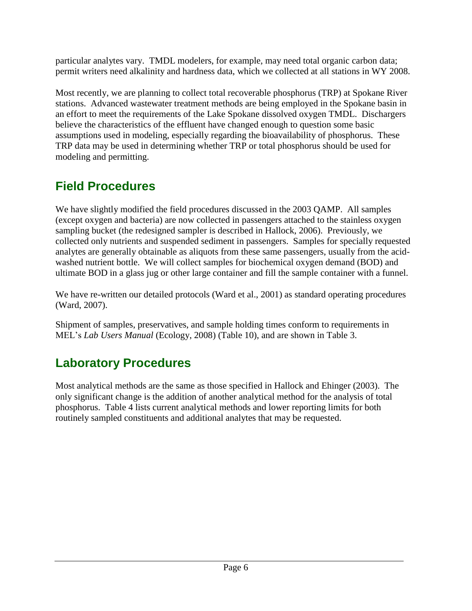particular analytes vary. TMDL modelers, for example, may need total organic carbon data; permit writers need alkalinity and hardness data, which we collected at all stations in WY 2008.

Most recently, we are planning to collect total recoverable phosphorus (TRP) at Spokane River stations. Advanced wastewater treatment methods are being employed in the Spokane basin in an effort to meet the requirements of the Lake Spokane dissolved oxygen TMDL. Dischargers believe the characteristics of the effluent have changed enough to question some basic assumptions used in modeling, especially regarding the bioavailability of phosphorus. These TRP data may be used in determining whether TRP or total phosphorus should be used for modeling and permitting.

# **Field Procedures**

We have slightly modified the field procedures discussed in the 2003 QAMP. All samples (except oxygen and bacteria) are now collected in passengers attached to the stainless oxygen sampling bucket (the redesigned sampler is described in Hallock, 2006). Previously, we collected only nutrients and suspended sediment in passengers. Samples for specially requested analytes are generally obtainable as aliquots from these same passengers, usually from the acidwashed nutrient bottle. We will collect samples for biochemical oxygen demand (BOD) and ultimate BOD in a glass jug or other large container and fill the sample container with a funnel.

We have re-written our detailed protocols (Ward et al., 2001) as standard operating procedures (Ward, 2007).

Shipment of samples, preservatives, and sample holding times conform to requirements in MEL's *Lab Users Manual* (Ecology, 2008) (Table 10), and are shown in Table 3.

## **Laboratory Procedures**

Most analytical methods are the same as those specified in Hallock and Ehinger (2003). The only significant change is the addition of another analytical method for the analysis of total phosphorus. Table 4 lists current analytical methods and lower reporting limits for both routinely sampled constituents and additional analytes that may be requested.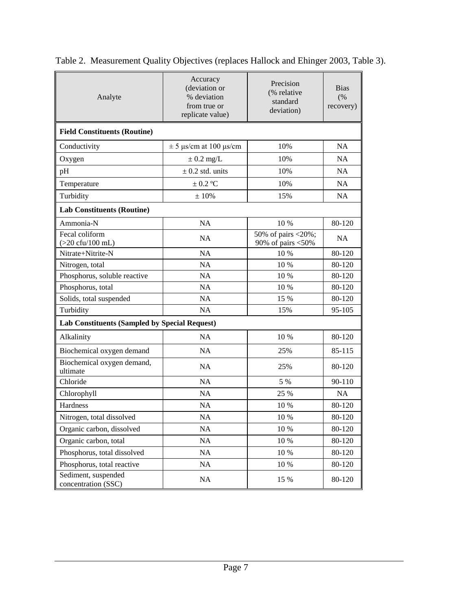| Analyte                                              | Accuracy<br>(deviation or<br>% deviation<br>from true or<br>replicate value) | Precision<br>(% relative<br>standard<br>deviation) | <b>Bias</b><br>(%)<br>recovery) |  |  |  |  |
|------------------------------------------------------|------------------------------------------------------------------------------|----------------------------------------------------|---------------------------------|--|--|--|--|
| <b>Field Constituents (Routine)</b>                  |                                                                              |                                                    |                                 |  |  |  |  |
| Conductivity                                         | $\pm$ 5 µs/cm at 100 µs/cm                                                   | 10%                                                | <b>NA</b>                       |  |  |  |  |
| Oxygen                                               | $\pm$ 0.2 mg/L                                                               | 10%                                                | <b>NA</b>                       |  |  |  |  |
| pH                                                   | $\pm$ 0.2 std. units                                                         | 10%                                                | <b>NA</b>                       |  |  |  |  |
| Temperature                                          | $\pm$ 0.2 °C                                                                 | 10%                                                | <b>NA</b>                       |  |  |  |  |
| Turbidity                                            | $\pm$ 10%                                                                    | 15%                                                | <b>NA</b>                       |  |  |  |  |
| <b>Lab Constituents (Routine)</b>                    |                                                                              |                                                    |                                 |  |  |  |  |
| Ammonia-N                                            | <b>NA</b>                                                                    | 10 %                                               | 80-120                          |  |  |  |  |
| Fecal coliform<br>$(>20 \text{ cft}/100 \text{ mL})$ | <b>NA</b>                                                                    | 50% of pairs <20%;<br>90% of pairs $<$ 50%         | <b>NA</b>                       |  |  |  |  |
| Nitrate+Nitrite-N                                    | <b>NA</b>                                                                    | 10 %                                               | 80-120                          |  |  |  |  |
| Nitrogen, total                                      | <b>NA</b>                                                                    | 10 %                                               | 80-120                          |  |  |  |  |
| Phosphorus, soluble reactive                         | <b>NA</b>                                                                    | 10 %                                               | 80-120                          |  |  |  |  |
| Phosphorus, total                                    | <b>NA</b>                                                                    | 10 %                                               | 80-120                          |  |  |  |  |
| Solids, total suspended                              | <b>NA</b>                                                                    | 15 %                                               | 80-120                          |  |  |  |  |
| Turbidity                                            | NA                                                                           | 15%                                                | 95-105                          |  |  |  |  |
|                                                      | Lab Constituents (Sampled by Special Request)                                |                                                    |                                 |  |  |  |  |
| Alkalinity                                           | NA                                                                           | 10 %                                               | 80-120                          |  |  |  |  |
| Biochemical oxygen demand                            | <b>NA</b>                                                                    | 25%                                                | 85-115                          |  |  |  |  |
| Biochemical oxygen demand,<br>ultimate               | <b>NA</b>                                                                    | 25%                                                | 80-120                          |  |  |  |  |
| Chloride                                             | <b>NA</b>                                                                    | 5 %                                                | $90 - 110$                      |  |  |  |  |
| Chlorophyll                                          | NA                                                                           | 25 %                                               | <b>NA</b>                       |  |  |  |  |
| Hardness                                             | <b>NA</b>                                                                    | 10 %                                               | 80-120                          |  |  |  |  |
| Nitrogen, total dissolved                            | NA                                                                           | 10 %                                               | 80-120                          |  |  |  |  |
| Organic carbon, dissolved                            | NA                                                                           | 10 %                                               | 80-120                          |  |  |  |  |
| Organic carbon, total                                | NA                                                                           | 10 %                                               | 80-120                          |  |  |  |  |
| Phosphorus, total dissolved                          | NA                                                                           | 10 %                                               | 80-120                          |  |  |  |  |
| Phosphorus, total reactive                           | NA                                                                           | $10\ \%$                                           | 80-120                          |  |  |  |  |
| Sediment, suspended<br>concentration (SSC)           | NA                                                                           | 15 %                                               | 80-120                          |  |  |  |  |

| Table 2. Measurement Quality Objectives (replaces Hallock and Ehinger 2003, Table 3). |  |  |  |  |
|---------------------------------------------------------------------------------------|--|--|--|--|
|                                                                                       |  |  |  |  |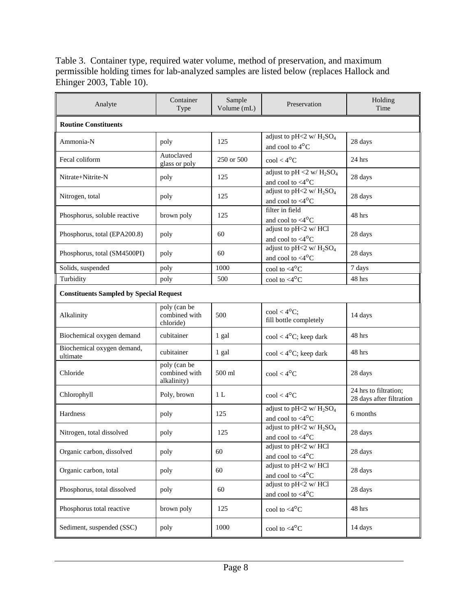Table 3. Container type, required water volume, method of preservation, and maximum permissible holding times for lab-analyzed samples are listed below (replaces Hallock and Ehinger 2003, Table 10).

| Analyte                                        | Container<br>Type                            | Sample<br>Volume (mL) | Preservation                                                                | Holding<br>Time                                   |  |  |
|------------------------------------------------|----------------------------------------------|-----------------------|-----------------------------------------------------------------------------|---------------------------------------------------|--|--|
| <b>Routine Constituents</b>                    |                                              |                       |                                                                             |                                                   |  |  |
| Ammonia-N                                      | poly                                         | 125                   | adjust to pH<2 w/ $H_2SO_4$<br>and cool to 4°C                              | 28 days                                           |  |  |
| Fecal coliform                                 | Autoclaved<br>glass or poly                  | 250 or 500            | $\text{cool} < 4^{\circ} \text{C}$                                          | 24 hrs                                            |  |  |
| Nitrate+Nitrite-N                              | poly                                         | 125                   | adjust to pH <2 w/ $H_2SO_4$<br>and cool to $\langle 4^{\circ}$ C           | 28 days                                           |  |  |
| Nitrogen, total                                | poly                                         | 125                   | adjust to pH<2 w/ $H_2SO_4$<br>and cool to $<\!\!4^{\circ}\mathrm{C}$       | 28 days                                           |  |  |
| Phosphorus, soluble reactive                   | brown poly                                   | 125                   | filter in field<br>and cool to $\langle 4^{\circ}$ C                        | 48 hrs                                            |  |  |
| Phosphorus, total (EPA200.8)                   | poly                                         | 60                    | adjust to pH<2 w/ HCl<br>and cool to $<4^{\circ}C$                          | 28 days                                           |  |  |
| Phosphorus, total (SM4500PI)                   | poly                                         | 60                    | adjust to pH<2 w/ $\overline{H_2SO_4}$<br>and cool to $\langle 4^{\circ}$ C | 28 days                                           |  |  |
| Solids, suspended                              | poly                                         | 1000                  | cool to $<$ 4 $\rm ^{o}C$                                                   | 7 days                                            |  |  |
| Turbidity                                      | poly                                         | 500                   | cool to $<$ 4 $\rm ^{o}C$                                                   | 48 hrs                                            |  |  |
| <b>Constituents Sampled by Special Request</b> |                                              |                       |                                                                             |                                                   |  |  |
| Alkalinity                                     | poly (can be<br>combined with<br>chloride)   | 500                   | $\text{cool} < 4^{\circ}C$ ;<br>fill bottle completely                      | 14 days                                           |  |  |
| Biochemical oxygen demand                      | cubitainer                                   | 1 gal                 | $\text{cool} < 4^{\circ}\text{C}$ ; keep dark                               | 48 hrs                                            |  |  |
| Biochemical oxygen demand,<br>ultimate         | cubitainer                                   | 1 gal                 | $\text{cool} < 4^{\circ}\text{C}$ ; keep dark                               | 48 hrs                                            |  |  |
| Chloride                                       | poly (can be<br>combined with<br>alkalinity) | 500 ml                | $\text{cool} < 4^{\circ} \text{C}$                                          | 28 days                                           |  |  |
| Chlorophyll                                    | Poly, brown                                  | 1 L                   | $\text{cool} < 4^{\circ} \text{C}$                                          | 24 hrs to filtration;<br>28 days after filtration |  |  |
| Hardness                                       | poly                                         | 125                   | adjust to pH<2 w/ $H_2SO_4$<br>and cool to $\langle 4^{\circ}$ C            | 6 months                                          |  |  |
| Nitrogen, total dissolved                      | poly                                         | 125                   | adjust to pH<2 w/ $\rm H_2SO_4$<br>and cool to $\langle 4^{\circ}$ C        | 28 days                                           |  |  |
| Organic carbon, dissolved                      | poly                                         | 60                    | adjust to pH<2 w/ HCl<br>and cool to $<4^{\circ}C$                          | 28 days                                           |  |  |
| Organic carbon, total                          | poly                                         | 60                    | adjust to pH<2 w/ HCl<br>and cool to $<4^{\circ}C$                          | 28 days                                           |  |  |
| Phosphorus, total dissolved                    | poly                                         | 60                    | adjust to pH<2 w/ HCl<br>and cool to $<4^{\circ}C$                          | 28 days                                           |  |  |
| Phosphorus total reactive                      | brown poly                                   | 125                   | cool to $<4$ <sup>o</sup> C                                                 | 48 hrs                                            |  |  |
| Sediment, suspended (SSC)                      | poly                                         | 1000                  | cool to $<$ 4 $\rm ^{o}C$                                                   | 14 days                                           |  |  |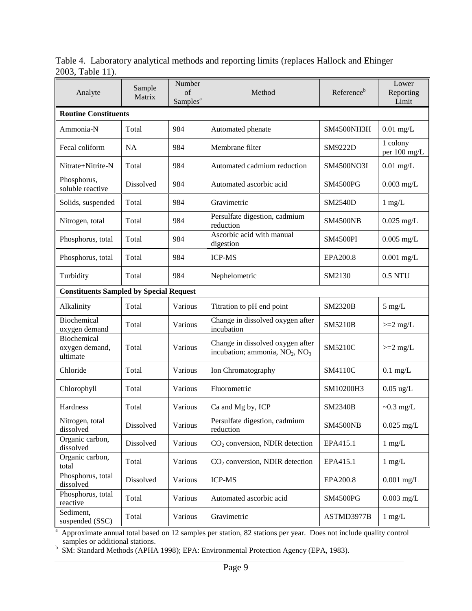Table 4. Laboratory analytical methods and reporting limits (replaces Hallock and Ehinger 2003, Table 11).

| Analyte                                        | Sample<br>Matrix | Number<br>of<br>Samples <sup>a</sup> | Method                                                                                     | Reference <sup>b</sup> | Lower<br>Reporting<br>Limit |  |
|------------------------------------------------|------------------|--------------------------------------|--------------------------------------------------------------------------------------------|------------------------|-----------------------------|--|
| <b>Routine Constituents</b>                    |                  |                                      |                                                                                            |                        |                             |  |
| Ammonia-N                                      | Total            | 984                                  | Automated phenate                                                                          | SM4500NH3H             | $0.01$ mg/L                 |  |
| Fecal coliform                                 | <b>NA</b>        | 984                                  | Membrane filter                                                                            | SM9222D                | 1 colony<br>per 100 mg/L    |  |
| Nitrate+Nitrite-N                              | Total            | 984                                  | Automated cadmium reduction                                                                | SM4500NO3I             | $0.01$ mg/L                 |  |
| Phosphorus,<br>soluble reactive                | <b>Dissolved</b> | 984                                  | Automated ascorbic acid                                                                    | <b>SM4500PG</b>        | $0.003$ mg/L                |  |
| Solids, suspended                              | Total            | 984                                  | Gravimetric                                                                                | <b>SM2540D</b>         | $1 \text{ mg/L}$            |  |
| Nitrogen, total                                | Total            | 984                                  | Persulfate digestion, cadmium<br>reduction                                                 | <b>SM4500NB</b>        | $0.025$ mg/L                |  |
| Phosphorus, total                              | Total            | 984                                  | Ascorbic acid with manual<br>digestion                                                     | <b>SM4500PI</b>        | $0.005$ mg/L                |  |
| Phosphorus, total                              | Total            | 984                                  | <b>ICP-MS</b>                                                                              | EPA200.8               | $0.001$ mg/L                |  |
| Turbidity                                      | Total            | 984                                  | Nephelometric                                                                              | SM2130                 | 0.5 NTU                     |  |
| <b>Constituents Sampled by Special Request</b> |                  |                                      |                                                                                            |                        |                             |  |
| Alkalinity                                     | Total            | Various                              | Titration to pH end point                                                                  | <b>SM2320B</b>         | $5 \text{ mg/L}$            |  |
| Biochemical<br>oxygen demand                   | Total            | Various                              | Change in dissolved oxygen after<br>incubation                                             | <b>SM5210B</b>         | $>=2$ mg/L                  |  |
| Biochemical<br>oxygen demand,<br>ultimate      | Total            | Various                              | Change in dissolved oxygen after<br>incubation; ammonia, NO <sub>2</sub> , NO <sub>3</sub> | SM5210C                | $>=2$ mg/L                  |  |
| Chloride                                       | Total            | Various                              | Ion Chromatography                                                                         | SM4110C                | $0.1$ mg/L                  |  |
| Chlorophyll                                    | Total            | Various                              | Fluorometric                                                                               | SM10200H3              | $0.05$ ug/L                 |  |
| Hardness                                       | Total            | Various                              | Ca and Mg by, ICP                                                                          | <b>SM2340B</b>         | $\sim 0.3$ mg/L             |  |
| Nitrogen, total<br>dissolved                   | Dissolved        | Various                              | Persulfate digestion, cadmium<br>reduction                                                 | <b>SM4500NB</b>        | $0.025$ mg/L                |  |
| Organic carbon,<br>dissolved                   | Dissolved        | Various                              | $CO2$ conversion, NDIR detection                                                           | EPA415.1               | $1$ mg/L                    |  |
| Organic carbon,<br>total                       | Total            | Various                              | CO <sub>2</sub> conversion, NDIR detection                                                 | EPA415.1               | $1$ mg/L                    |  |
| Phosphorus, total<br>dissolved                 | Dissolved        | Various                              | <b>ICP-MS</b>                                                                              | EPA200.8               | $0.001$ mg/L                |  |
| Phosphorus, total<br>reactive                  | Total            | Various                              | Automated ascorbic acid                                                                    | <b>SM4500PG</b>        | $0.003$ mg/L                |  |
| Sediment,<br>suspended (SSC)                   | Total            | Various                              | Gravimetric                                                                                | ASTMD3977B             | $1$ mg/L                    |  |

<sup>a</sup> Approximate annual total based on 12 samples per station, 82 stations per year. Does not include quality control samples or additional stations.<br>
<sup>b</sup> SM: Standard Methods (APHA 1998); EPA: Environmental Protection Agency (EPA, 1983).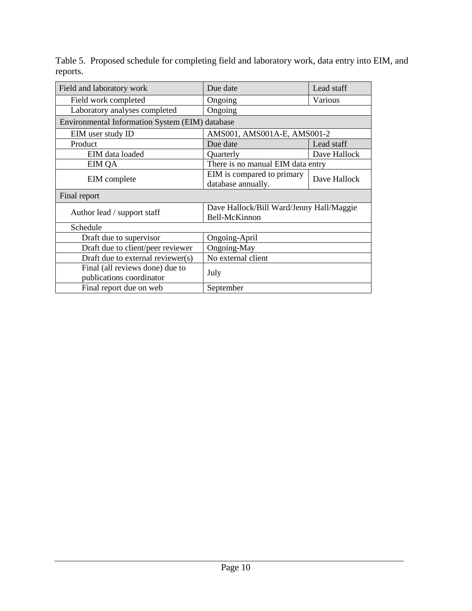| Field and laboratory work                                   | Due date                                                  | Lead staff   |  |
|-------------------------------------------------------------|-----------------------------------------------------------|--------------|--|
| Field work completed                                        | Ongoing                                                   | Various      |  |
| Laboratory analyses completed                               | Ongoing                                                   |              |  |
| Environmental Information System (EIM) database             |                                                           |              |  |
| EIM user study ID                                           | AMS001, AMS001A-E, AMS001-2                               |              |  |
| Product                                                     | Due date                                                  | Lead staff   |  |
| EIM data loaded                                             | Quarterly                                                 | Dave Hallock |  |
| <b>EIM QA</b>                                               | There is no manual EIM data entry                         |              |  |
| EIM complete                                                | EIM is compared to primary<br>database annually.          | Dave Hallock |  |
| Final report                                                |                                                           |              |  |
| Author lead / support staff                                 | Dave Hallock/Bill Ward/Jenny Hall/Maggie<br>Bell-McKinnon |              |  |
| Schedule                                                    |                                                           |              |  |
| Draft due to supervisor                                     | Ongoing-April                                             |              |  |
| Draft due to client/peer reviewer                           | Ongoing-May                                               |              |  |
| Draft due to external reviewer(s)                           | No external client                                        |              |  |
| Final (all reviews done) due to<br>publications coordinator | July                                                      |              |  |
| Final report due on web                                     | September                                                 |              |  |

Table 5. Proposed schedule for completing field and laboratory work, data entry into EIM, and reports.